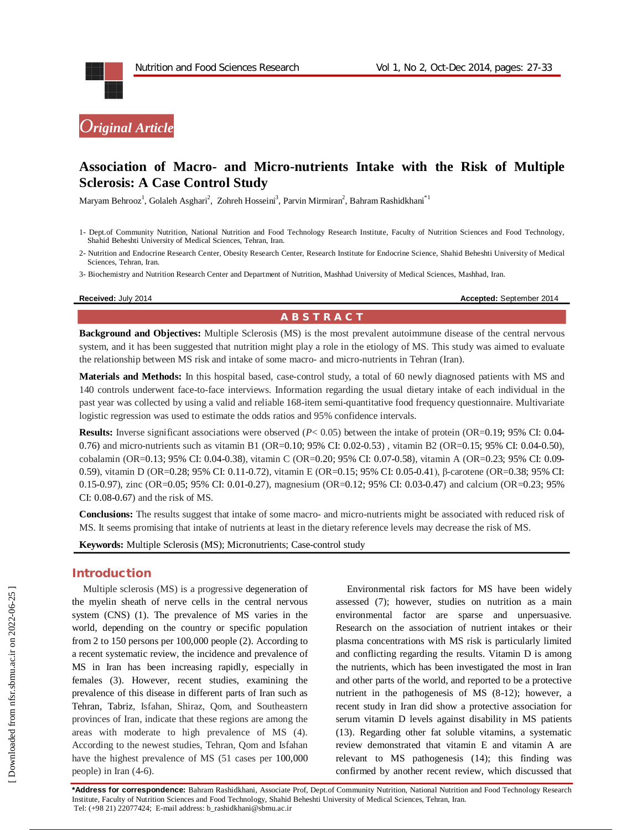

# **Association of Macro- and Micro-nutrients Intake with the Risk of Multiple Sclerosis: A Case Control Study**

Maryam Behrooz<sup>1</sup>, Golaleh Asghari<sup>2</sup>, Zohreh Hosseini<sup>3</sup>, Parvin Mirmiran<sup>2</sup>, Bahram Rashidkhani<sup>\*1</sup>

2- Nutrition and Endocrine Research Center, Obesity Research Center, Research Institute for Endocrine Science, Shahid Beheshti University of Medical Sciences, Tehran, Iran.

3- Biochemistry and Nutrition Research Center and Department of Nutrition, Mashhad University of Medical Sciences, Mashhad, Iran.

**Received:** July 2014 **Accepted: September 2014 Accepted: September 2014** 

# **A B S T R A C T**

**Background and Objectives:** Multiple Sclerosis (MS) is the most prevalent autoimmune disease of the central nervous system, and it has been suggested that nutrition might play a role in the etiology of MS. This study was aimed to evaluate the relationship between MS risk and intake of some macro- and micro-nutrients in Tehran (Iran).

**Materials and Methods:** In this hospital based, case-control study, a total of 60 newly diagnosed patients with MS and 140 controls underwent face-to-face interviews. Information regarding the usual dietary intake of each individual in the past year was collected by using a valid and reliable 168-item semi-quantitative food frequency questionnaire. Multivariate logistic regression was used to estimate the odds ratios and 95% confidence intervals.

**Results:** Inverse significant associations were observed ( $P$ < 0.05) between the intake of protein (OR=0.19; 95% CI: 0.04-0.76) and micro-nutrients such as vitamin B1 (OR=0.10; 95% CI: 0.02-0.53) , vitamin B2 (OR=0.15; 95% CI: 0.04-0.50), cobalamin (OR=0.13; 95% CI: 0.04-0.38), vitamin C (OR=0.20; 95% CI: 0.07-0.58), vitamin A (OR=0.23; 95% CI: 0.09- 0.59), vitamin D (OR=0.28; 95% CI: 0.11-0.72), vitamin E (OR=0.15; 95% CI: 0.05-0.41), β-carotene (OR=0.38; 95% CI: 0.15-0.97), zinc (OR=0.05; 95% CI: 0.01-0.27), magnesium (OR=0.12; 95% CI: 0.03-0.47) and calcium (OR=0.23; 95% CI: 0.08-0.67) and the risk of MS.

**Conclusions:** The results suggest that intake of some macro- and micro-nutrients might be associated with reduced risk of MS. It seems promising that intake of nutrients at least in the dietary reference levels may decrease the risk of MS.

**Keywords:** Multiple Sclerosis (MS); Micronutrients; Case-control study

### **Introduction**

Multiple sclerosis (MS) is a progressive degeneration of the myelin sheath of nerve cells in the central nervous system (CNS) (1). The prevalence of MS varies in the world, depending on the country or specific population from 2 to 150 persons per 100,000 people (2). According to a recent systematic review, the incidence and prevalence of MS in Iran has been increasing rapidly, especially in females (3). However, recent studies, examining the prevalence of this disease in different parts of Iran such as Tehran, Tabriz, Isfahan, Shiraz, Qom, and Southeastern provinces of Iran, indicate that these regions are among the areas with moderate to high prevalence of MS (4). According to the newest studies, Tehran, Qom and Isfahan have the highest prevalence of MS (51 cases per 100,000 people) in Iran (4-6).

Environmental risk factors for MS have been widely assessed (7); however, studies on nutrition as a main environmental factor are sparse and unpersuasive. Research on the association of nutrient intakes or their plasma concentrations with MS risk is particularly limited and conflicting regarding the results. Vitamin D is among the nutrients, which has been investigated the most in Iran and other parts of the world, and reported to be a protective nutrient in the pathogenesis of MS (8-12); however, a recent study in Iran did show a protective association for serum vitamin D levels against disability in MS patients (13). Regarding other fat soluble vitamins, a systematic review demonstrated that vitamin E and vitamin A are relevant to MS pathogenesis (14); this finding was confirmed by another recent review, which discussed that

**\*Address for correspondence:** Bahram Rashidkhani, Associate Prof, Dept.of Community Nutrition, National Nutrition and Food Technology Research Institute, Faculty of Nutrition Sciences and Food Technology, Shahid Beheshti University of Medical Sciences, Tehran, Iran. Tel: (+98 21) 22077424; E-mail address: b\_rashidkhani@sbmu.ac.ir

<sup>1-</sup> Dept.of Community Nutrition, National Nutrition and Food Technology Research Institute, Faculty of Nutrition Sciences and Food Technology, Shahid Beheshti University of Medical Sciences, Tehran, Iran.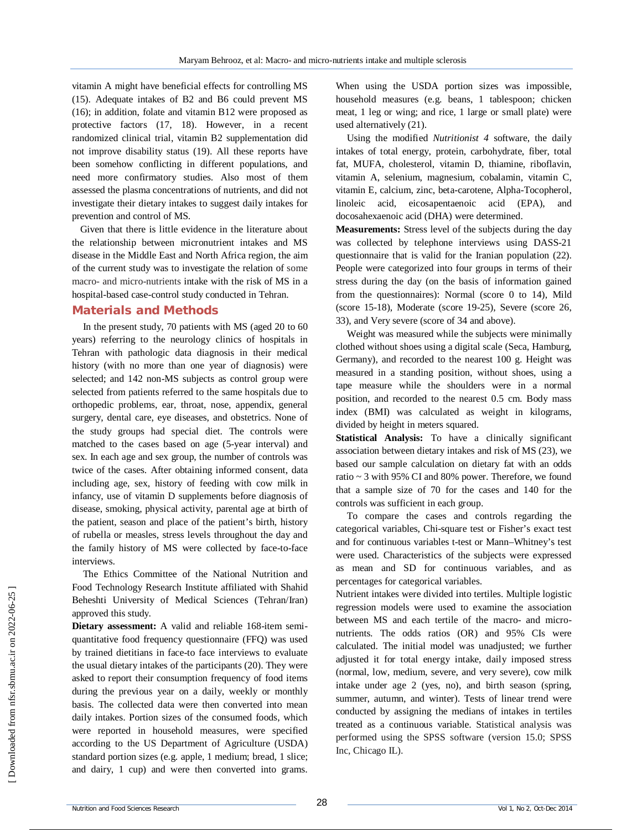vitamin A might have beneficial effects for controlling MS (15). Adequate intakes of B2 and B6 could prevent MS (16); in addition, folate and vitamin B12 were proposed as protective factors (17, 18). However, in a recent randomized clinical trial, vitamin B2 supplementation did not improve disability status (19). All these reports have been somehow conflicting in different populations, and need more confirmatory studies. Also most of them assessed the plasma concentrations of nutrients, and did not investigate their dietary intakes to suggest daily intakes for prevention and control of MS.

Given that there is little evidence in the literature about the relationship between micronutrient intakes and MS disease in the Middle East and North Africa region, the aim of the current study was to investigate the relation of some macro- and micro-nutrients intake with the risk of MS in a hospital-based case-control study conducted in Tehran.

### **Materials and Methods**

In the present study, 70 patients with MS (aged 20 to 60 years) referring to the neurology clinics of hospitals in Tehran with pathologic data diagnosis in their medical history (with no more than one year of diagnosis) were selected; and 142 non-MS subjects as control group were selected from patients referred to the same hospitals due to orthopedic problems, ear, throat, nose, appendix, general surgery, dental care, eye diseases, and obstetrics. None of the study groups had special diet. The controls were matched to the cases based on age (5-year interval) and sex. In each age and sex group, the number of controls was twice of the cases. After obtaining informed consent, data including age, sex, history of feeding with cow milk in infancy, use of vitamin D supplements before diagnosis of disease, smoking, physical activity, parental age at birth of the patient, season and place of the patient's birth, history of rubella or measles, stress levels throughout the day and the family history of MS were collected by face-to-face interviews.

The Ethics Committee of the National Nutrition and Food Technology Research Institute affiliated with Shahid Beheshti University of Medical Sciences (Tehran/Iran) approved this study.

**Dietary assessment:** A valid and reliable 168-item semiquantitative food frequency questionnaire (FFQ) was used by trained dietitians in face-to face interviews to evaluate the usual dietary intakes of the participants (20). They were asked to report their consumption frequency of food items during the previous year on a daily, weekly or monthly basis. The collected data were then converted into mean daily intakes. Portion sizes of the consumed foods, which were reported in household measures, were specified according to the US Department of Agriculture (USDA) standard portion sizes (e.g. apple, 1 medium; bread, 1 slice; and dairy, 1 cup) and were then converted into grams.

When using the USDA portion sizes was impossible, household measures (e.g. beans, 1 tablespoon; chicken meat, 1 leg or wing; and rice, 1 large or small plate) were used alternatively (21).

Using the modified *Nutritionist 4* software, the daily intakes of total energy, protein, carbohydrate, fiber, total fat, MUFA, cholesterol, vitamin D, thiamine, riboflavin, vitamin A, selenium, magnesium, cobalamin, vitamin C, vitamin E, calcium, zinc, beta-carotene, Alpha-Tocopherol, linoleic acid, eicosapentaenoic acid (EPA), and docosahexaenoic acid (DHA) were determined.

**Measurements:** Stress level of the subjects during the day was collected by telephone interviews using DASS-21 questionnaire that is valid for the Iranian population (22). People were categorized into four groups in terms of their stress during the day (on the basis of information gained from the questionnaires): Normal (score 0 to 14), Mild (score 15-18), Moderate (score 19-25), Severe (score 26, 33), and Very severe (score of 34 and above).

Weight was measured while the subjects were minimally clothed without shoes using a digital scale (Seca, Hamburg, Germany), and recorded to the nearest 100 g. Height was measured in a standing position, without shoes, using a tape measure while the shoulders were in a normal position, and recorded to the nearest 0.5 cm. Body mass index (BMI) was calculated as weight in kilograms, divided by height in meters squared.

**Statistical Analysis:** To have a clinically significant association between dietary intakes and risk of MS (23), we based our sample calculation on dietary fat with an odds ratio ~ 3 with 95% CI and 80% power. Therefore, we found that a sample size of 70 for the cases and 140 for the controls was sufficient in each group.

To compare the cases and controls regarding the categorical variables, Chi-square test or Fisher's exact test and for continuous variables t-test or Mann–Whitney's test were used. Characteristics of the subjects were expressed as mean and SD for continuous variables, and as percentages for categorical variables.

Nutrient intakes were divided into tertiles. Multiple logistic regression models were used to examine the association between MS and each tertile of the macro- and micronutrients. The odds ratios (OR) and 95% CIs were calculated. The initial model was unadjusted; we further adjusted it for total energy intake, daily imposed stress (normal, low, medium, severe, and very severe), cow milk intake under age 2 (yes, no), and birth season (spring, summer, autumn, and winter). Tests of linear trend were conducted by assigning the medians of intakes in tertiles treated as a continuous variable. Statistical analysis was performed using the SPSS software (version 15.0; SPSS Inc, Chicago IL).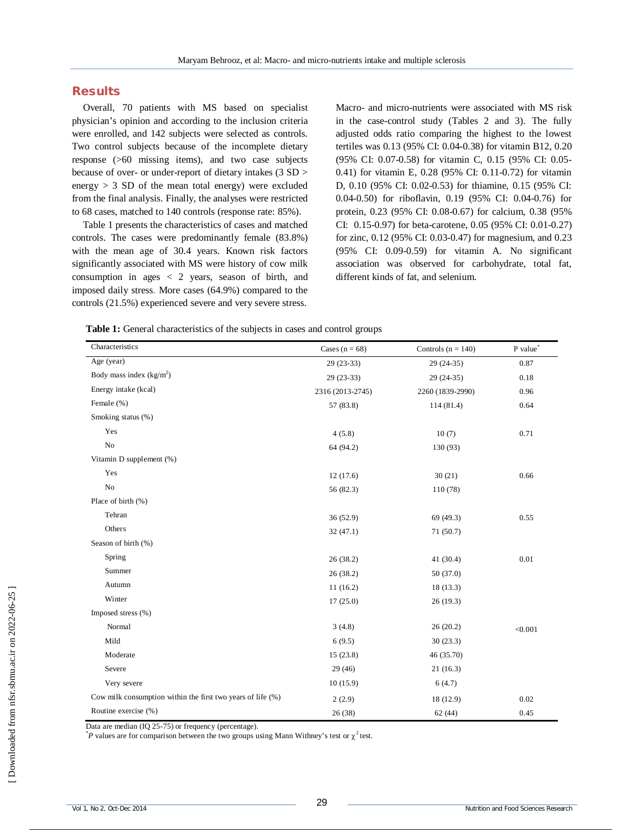## **Results**

Overall, 70 patients with MS based on specialist physician's opinion and according to the inclusion criteria were enrolled, and 142 subjects were selected as controls. Two control subjects because of the incomplete dietary response (>60 missing items), and two case subjects because of over- or under-report of dietary intakes (3 SD > energy  $> 3$  SD of the mean total energy) were excluded from the final analysis. Finally, the analyses were restricted to 68 cases, matched to 140 controls (response rate: 85%).

Table 1 presents the characteristics of cases and matched controls. The cases were predominantly female (83.8%) with the mean age of 30.4 years. Known risk factors significantly associated with MS were history of cow milk consumption in ages < 2 years, season of birth, and imposed daily stress. More cases (64.9%) compared to the controls (21.5%) experienced severe and very severe stress.

Macro- and micro-nutrients were associated with MS risk in the case-control study (Tables 2 and 3). The fully adjusted odds ratio comparing the highest to the lowest tertiles was 0.13 (95% CI: 0.04-0.38) for vitamin B12, 0.20 (95% CI: 0.07-0.58) for vitamin C, 0.15 (95% CI: 0.05- 0.41) for vitamin E, 0.28 (95% CI: 0.11-0.72) for vitamin D, 0.10 (95% CI: 0.02-0.53) for thiamine, 0.15 (95% CI: 0.04-0.50) for riboflavin, 0.19 (95% CI: 0.04-0.76) for protein, 0.23 (95% CI: 0.08-0.67) for calcium, 0.38 (95% CI: 0.15-0.97) for beta-carotene, 0.05 (95% CI: 0.01-0.27) for zinc, 0.12 (95% CI: 0.03-0.47) for magnesium, and 0.23 (95% CI: 0.09-0.59) for vitamin A. No significant association was observed for carbohydrate, total fat, different kinds of fat, and selenium.

| Table 1: General characteristics of the subjects in cases and control groups |  |
|------------------------------------------------------------------------------|--|
|------------------------------------------------------------------------------|--|

| Characteristics                                             | Cases ( $n = 68$ ) | Controls ( $n = 140$ ) | P value* |
|-------------------------------------------------------------|--------------------|------------------------|----------|
| Age (year)                                                  | $29(23-33)$        | $29(24-35)$            | 0.87     |
| Body mass index $(kg/m2)$                                   | $29(23-33)$        | $29(24-35)$            | 0.18     |
| Energy intake (kcal)                                        | 2316 (2013-2745)   | 2260 (1839-2990)       | 0.96     |
| Female (%)                                                  | 57 (83.8)          | 114(81.4)              | 0.64     |
| Smoking status (%)                                          |                    |                        |          |
| Yes                                                         | 4(5.8)             | 10(7)                  | 0.71     |
| No                                                          | 64 (94.2)          | 130 (93)               |          |
| Vitamin D supplement (%)                                    |                    |                        |          |
| Yes                                                         | 12(17.6)           | 30(21)                 | 0.66     |
| No                                                          | 56 (82.3)          | 110 (78)               |          |
| Place of birth (%)                                          |                    |                        |          |
| Tehran                                                      | 36(52.9)           | 69 (49.3)              | 0.55     |
| Others                                                      | 32(47.1)           | 71(50.7)               |          |
| Season of birth (%)                                         |                    |                        |          |
| Spring                                                      | 26(38.2)           | 41 (30.4)              | 0.01     |
| Summer                                                      | 26 (38.2)          | 50 (37.0)              |          |
| Autumn                                                      | 11(16.2)           | 18 (13.3)              |          |
| Winter                                                      | 17(25.0)           | 26(19.3)               |          |
| Imposed stress (%)                                          |                    |                        |          |
| Normal                                                      | 3(4.8)             | 26(20.2)               | < 0.001  |
| Mild                                                        | 6(9.5)             | 30(23.3)               |          |
| Moderate                                                    | 15(23.8)           | 46 (35.70)             |          |
| Severe                                                      | 29(46)             | 21(16.3)               |          |
| Very severe                                                 | 10(15.9)           | 6(4.7)                 |          |
| Cow milk consumption within the first two years of life (%) | 2(2.9)             | 18 (12.9)              | 0.02     |
| Routine exercise (%)                                        | 26 (38)            | 62 (44)                | 0.45     |

Data are median (IQ 25-75) or frequency (percentage).

 $*P$  values are for comparison between the two groups using Mann Withney's test or  $\chi^2$  test.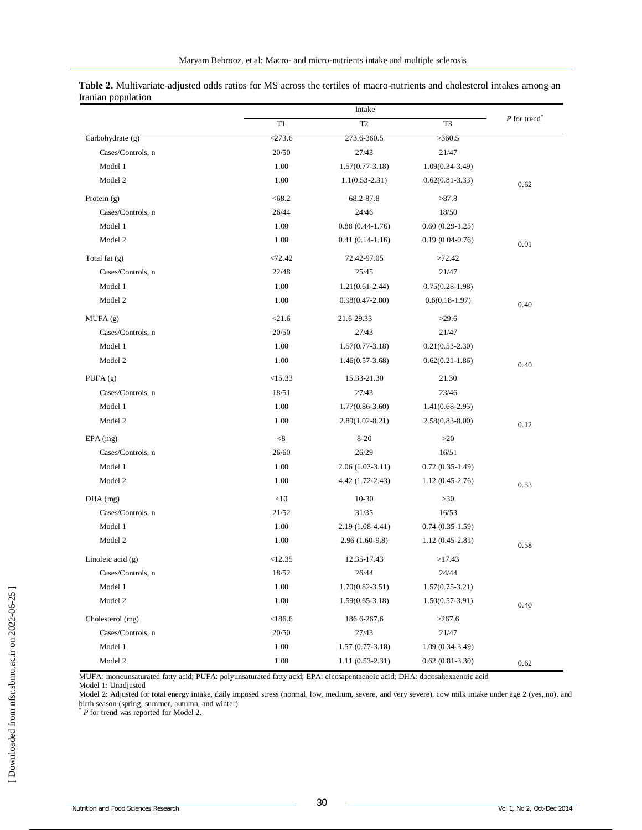|                     |           | Intake              |                     |                            |
|---------------------|-----------|---------------------|---------------------|----------------------------|
|                     | T1        | T <sub>2</sub>      | T <sub>3</sub>      | $P$ for trend <sup>*</sup> |
| Carbohydrate (g)    | $<$ 273.6 | 273.6-360.5         | >360.5              |                            |
| Cases/Controls, n   | 20/50     | 27/43               | 21/47               |                            |
| Model 1             | 1.00      | $1.57(0.77-3.18)$   | $1.09(0.34-3.49)$   |                            |
| Model 2             | 1.00      | $1.1(0.53-2.31)$    | $0.62(0.81-3.33)$   | 0.62                       |
| Protein $(g)$       | < 68.2    | 68.2-87.8           | >87.8               |                            |
| Cases/Controls, n   | 26/44     | 24/46               | 18/50               |                            |
| Model 1             | 1.00      | $0.88(0.44-1.76)$   | $0.60(0.29-1.25)$   |                            |
| Model 2             | 1.00      | $0.41(0.14-1.16)$   | $0.19(0.04-0.76)$   | 0.01                       |
| Total fat (g)       | < 72.42   | 72.42-97.05         | >72.42              |                            |
| Cases/Controls, n   | 22/48     | 25/45               | 21/47               |                            |
| Model 1             | 1.00      | $1.21(0.61-2.44)$   | $0.75(0.28-1.98)$   |                            |
| Model 2             | 1.00      | $0.98(0.47 - 2.00)$ | $0.6(0.18-1.97)$    | 0.40                       |
| MUFA(g)             | < 21.6    | 21.6-29.33          | >29.6               |                            |
| Cases/Controls, n   | 20/50     | 27/43               | 21/47               |                            |
| Model 1             | 1.00      | $1.57(0.77-3.18)$   | $0.21(0.53 - 2.30)$ |                            |
| Model 2             | 1.00      | $1.46(0.57-3.68)$   | $0.62(0.21-1.86)$   | 0.40                       |
| PUFA $(g)$          | <15.33    | 15.33-21.30         | 21.30               |                            |
| Cases/Controls, n   | 18/51     | 27/43               | 23/46               |                            |
| Model 1             | 1.00      | $1.77(0.86 - 3.60)$ | $1.41(0.68-2.95)$   |                            |
| Model 2             | 1.00      | $2.89(1.02 - 8.21)$ | $2.58(0.83 - 8.00)$ | 0.12                       |
| $EPA$ (mg)          | < 8       | $8 - 20$            | >20                 |                            |
| Cases/Controls, n   | 26/60     | 26/29               | 16/51               |                            |
| Model 1             | 1.00      | $2.06(1.02-3.11)$   | $0.72(0.35-1.49)$   |                            |
| Model 2             | 1.00      | 4.42 (1.72-2.43)    | $1.12(0.45-2.76)$   | 0.53                       |
| $DHA$ (mg)          | <10       | $10-30$             | >30                 |                            |
| Cases/Controls, n   | 21/52     | 31/35               | 16/53               |                            |
| Model 1             | 1.00      | $2.19(1.08-4.41)$   | $0.74(0.35-1.59)$   |                            |
| Model 2             | 1.00      | $2.96(1.60-9.8)$    | $1.12(0.45-2.81)$   | 0.58                       |
| Linoleic acid $(g)$ | <12.35    | 12.35-17.43         | >17.43              |                            |
| Cases/Controls, n   | 18/52     | 26/44               | 24/44               |                            |
| Model 1             | 1.00      | $1.70(0.82 - 3.51)$ | $1.57(0.75-3.21)$   |                            |
| Model 2             | 1.00      | $1.59(0.65-3.18)$   | $1.50(0.57-3.91)$   | 0.40                       |
| Cholesterol (mg)    | < 186.6   | 186.6-267.6         | >267.6              |                            |
| Cases/Controls, n   | 20/50     | 27/43               | 21/47               |                            |
| Model 1             | 1.00      | $1.57(0.77-3.18)$   | $1.09(0.34-3.49)$   |                            |
| Model 2             | $1.00\,$  | $1.11(0.53-2.31)$   | $0.62(0.81-3.30)$   | 0.62                       |

**Table 2.** Multivariate-adjusted odds ratios for MS across the tertiles of macro-nutrients and cholesterol intakes among an Iranian population

MUFA: monounsaturated fatty acid; PUFA: polyunsaturated fatty acid; EPA: eicosapentaenoic acid; DHA: docosahexaenoic acid

Model 1: Unadjusted

Model 2: Adjusted for total energy intake, daily imposed stress (normal, low, medium, severe, and very severe), cow milk intake under age 2 (yes, no), and birth season (spring, summer, autumn, and winter) \* *P* for trend was reported for Model 2.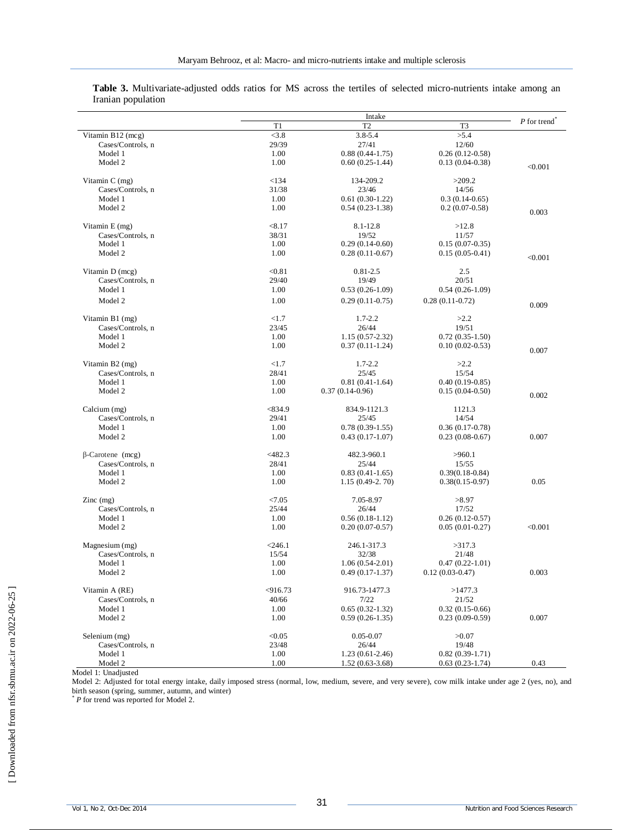| T <sub>2</sub><br>T1<br>T3<br>$\overline{\leq}3.8$<br>Vitamin B12 (mcg)<br>3.8-5.4<br>>5.4<br>29/39<br>27/41<br>12/60<br>Cases/Controls, n<br>Model 1<br>1.00<br>$0.88(0.44-1.75)$<br>$0.26(0.12-0.58)$<br>Model 2<br>1.00<br>$0.60(0.25-1.44)$<br>$0.13(0.04-0.38)$<br>< 0.001<br>Vitamin C (mg)<br>< 134<br>134-209.2<br>>209.2<br>Cases/Controls, n<br>31/38<br>23/46<br>14/56<br>1.00<br>$0.61(0.30-1.22)$<br>Model 1<br>$0.3(0.14-0.65)$<br>Model 2<br>1.00<br>$0.54(0.23-1.38)$<br>$0.2(0.07-0.58)$<br>0.003<br>< 8.17<br>Vitamin E (mg)<br>8.1-12.8<br>>12.8<br>38/31<br>Cases/Controls, n<br>19/52<br>11/57<br>Model 1<br>1.00<br>$0.29(0.14-0.60)$<br>$0.15(0.07-0.35)$<br>Model 2<br>1.00<br>$0.28(0.11-0.67)$<br>$0.15(0.05-0.41)$<br>< 0.001<br>< 0.81<br>$0.81 - 2.5$<br>Vitamin D (mcg)<br>2.5<br>Cases/Controls, n<br>29/40<br>19/49<br>20/51<br>Model 1<br>1.00<br>$0.53(0.26-1.09)$<br>$0.54(0.26-1.09)$<br>Model 2<br>1.00<br>$0.29(0.11-0.75)$<br>$0.28(0.11-0.72)$<br>0.009<br>Vitamin B1 (mg)<br><1.7<br>$1.7 - 2.2$<br>>2.2<br>23/45<br>26/44<br>19/51<br>Cases/Controls, n<br>$1.15(0.57-2.32)$<br>Model 1<br>1.00<br>$0.72(0.35-1.50)$<br>1.00<br>Model 2<br>$0.37(0.11-1.24)$<br>$0.10(0.02 - 0.53)$<br>0.007<br><1.7<br>>2.2<br>Vitamin B2 (mg)<br>$1.7 - 2.2$<br>25/45<br>Cases/Controls, n<br>28/41<br>15/54<br>Model 1<br>1.00<br>$0.81(0.41-1.64)$<br>$0.40(0.19-0.85)$<br>$0.37(0.14-0.96)$<br>Model 2<br>1.00<br>$0.15(0.04-0.50)$<br>0.002<br>Calcium (mg)<br>< 834.9<br>834.9-1121.3<br>1121.3<br>Cases/Controls, n<br>29/41<br>25/45<br>14/54<br>Model 1<br>1.00<br>$0.78(0.39-1.55)$<br>$0.36(0.17-0.78)$<br>Model 2<br>1.00<br>0.007<br>$0.43(0.17-1.07)$<br>$0.23(0.08-0.67)$<br>$<$ 482.3<br>$\beta$ -Carotene (mcg)<br>482.3-960.1<br>>960.1<br>28/41<br>Cases/Controls, n<br>25/44<br>15/55<br>Model 1<br>1.00<br>$0.83(0.41-1.65)$<br>$0.39(0.18 - 0.84)$<br>Model 2<br>1.00<br>$1.15(0.49-2.70)$<br>$0.38(0.15-0.97)$<br>0.05<br>< 7.05<br>7.05-8.97<br>$\text{Zinc}$ (mg)<br>>8.97<br>Cases/Controls, n<br>25/44<br>26/44<br>17/52<br>Model 1<br>1.00<br>$0.56(0.18-1.12)$<br>$0.26(0.12-0.57)$<br>Model 2<br>1.00<br>$0.20(0.07-0.57)$<br>$0.05(0.01-0.27)$<br>< 0.001<br>Magnesium (mg)<br>$246.1$<br>246.1-317.3<br>>317.3<br>Cases/Controls, n<br>32/38<br>15/54<br>21/48<br>Model 1<br>1.00<br>$1.06(0.54-2.01)$<br>$0.47(0.22 - 1.01)$<br>Model 2<br>1.00<br>$0.49(0.17-1.37)$<br>$0.12(0.03-0.47)$<br>0.003<br>< 916.73<br>Vitamin A (RE)<br>916.73-1477.3<br>>1477.3<br>40/66<br>7/22<br>21/52<br>Cases/Controls, n<br>Model 1<br>1.00<br>$0.65(0.32-1.32)$<br>$0.32(0.15-0.66)$<br>0.007<br>Model 2<br>1.00<br>$0.59(0.26-1.35)$<br>$0.23$ $(0.09-0.59)$<br>< 0.05<br>Selenium (mg)<br>$0.05 - 0.07$<br>>0.07<br>Cases/Controls, n<br>23/48<br>26/44<br>19/48<br>Model 1<br>1.00<br>$1.23(0.61-2.46)$<br>$0.82(0.39-1.71)$ |         | Intake |                   |                   |             |
|---------------------------------------------------------------------------------------------------------------------------------------------------------------------------------------------------------------------------------------------------------------------------------------------------------------------------------------------------------------------------------------------------------------------------------------------------------------------------------------------------------------------------------------------------------------------------------------------------------------------------------------------------------------------------------------------------------------------------------------------------------------------------------------------------------------------------------------------------------------------------------------------------------------------------------------------------------------------------------------------------------------------------------------------------------------------------------------------------------------------------------------------------------------------------------------------------------------------------------------------------------------------------------------------------------------------------------------------------------------------------------------------------------------------------------------------------------------------------------------------------------------------------------------------------------------------------------------------------------------------------------------------------------------------------------------------------------------------------------------------------------------------------------------------------------------------------------------------------------------------------------------------------------------------------------------------------------------------------------------------------------------------------------------------------------------------------------------------------------------------------------------------------------------------------------------------------------------------------------------------------------------------------------------------------------------------------------------------------------------------------------------------------------------------------------------------------------------------------------------------------------------------------------------------------------------------------------------------------------------------------------------------------------------------------------------------------------------------------------------------------------------------------------------------------------------------------------------------------------------------------------|---------|--------|-------------------|-------------------|-------------|
|                                                                                                                                                                                                                                                                                                                                                                                                                                                                                                                                                                                                                                                                                                                                                                                                                                                                                                                                                                                                                                                                                                                                                                                                                                                                                                                                                                                                                                                                                                                                                                                                                                                                                                                                                                                                                                                                                                                                                                                                                                                                                                                                                                                                                                                                                                                                                                                                                                                                                                                                                                                                                                                                                                                                                                                                                                                                                 |         |        |                   |                   | P for trend |
|                                                                                                                                                                                                                                                                                                                                                                                                                                                                                                                                                                                                                                                                                                                                                                                                                                                                                                                                                                                                                                                                                                                                                                                                                                                                                                                                                                                                                                                                                                                                                                                                                                                                                                                                                                                                                                                                                                                                                                                                                                                                                                                                                                                                                                                                                                                                                                                                                                                                                                                                                                                                                                                                                                                                                                                                                                                                                 |         |        |                   |                   |             |
|                                                                                                                                                                                                                                                                                                                                                                                                                                                                                                                                                                                                                                                                                                                                                                                                                                                                                                                                                                                                                                                                                                                                                                                                                                                                                                                                                                                                                                                                                                                                                                                                                                                                                                                                                                                                                                                                                                                                                                                                                                                                                                                                                                                                                                                                                                                                                                                                                                                                                                                                                                                                                                                                                                                                                                                                                                                                                 |         |        |                   |                   |             |
|                                                                                                                                                                                                                                                                                                                                                                                                                                                                                                                                                                                                                                                                                                                                                                                                                                                                                                                                                                                                                                                                                                                                                                                                                                                                                                                                                                                                                                                                                                                                                                                                                                                                                                                                                                                                                                                                                                                                                                                                                                                                                                                                                                                                                                                                                                                                                                                                                                                                                                                                                                                                                                                                                                                                                                                                                                                                                 |         |        |                   |                   |             |
|                                                                                                                                                                                                                                                                                                                                                                                                                                                                                                                                                                                                                                                                                                                                                                                                                                                                                                                                                                                                                                                                                                                                                                                                                                                                                                                                                                                                                                                                                                                                                                                                                                                                                                                                                                                                                                                                                                                                                                                                                                                                                                                                                                                                                                                                                                                                                                                                                                                                                                                                                                                                                                                                                                                                                                                                                                                                                 |         |        |                   |                   |             |
|                                                                                                                                                                                                                                                                                                                                                                                                                                                                                                                                                                                                                                                                                                                                                                                                                                                                                                                                                                                                                                                                                                                                                                                                                                                                                                                                                                                                                                                                                                                                                                                                                                                                                                                                                                                                                                                                                                                                                                                                                                                                                                                                                                                                                                                                                                                                                                                                                                                                                                                                                                                                                                                                                                                                                                                                                                                                                 |         |        |                   |                   |             |
|                                                                                                                                                                                                                                                                                                                                                                                                                                                                                                                                                                                                                                                                                                                                                                                                                                                                                                                                                                                                                                                                                                                                                                                                                                                                                                                                                                                                                                                                                                                                                                                                                                                                                                                                                                                                                                                                                                                                                                                                                                                                                                                                                                                                                                                                                                                                                                                                                                                                                                                                                                                                                                                                                                                                                                                                                                                                                 |         |        |                   |                   |             |
|                                                                                                                                                                                                                                                                                                                                                                                                                                                                                                                                                                                                                                                                                                                                                                                                                                                                                                                                                                                                                                                                                                                                                                                                                                                                                                                                                                                                                                                                                                                                                                                                                                                                                                                                                                                                                                                                                                                                                                                                                                                                                                                                                                                                                                                                                                                                                                                                                                                                                                                                                                                                                                                                                                                                                                                                                                                                                 |         |        |                   |                   |             |
|                                                                                                                                                                                                                                                                                                                                                                                                                                                                                                                                                                                                                                                                                                                                                                                                                                                                                                                                                                                                                                                                                                                                                                                                                                                                                                                                                                                                                                                                                                                                                                                                                                                                                                                                                                                                                                                                                                                                                                                                                                                                                                                                                                                                                                                                                                                                                                                                                                                                                                                                                                                                                                                                                                                                                                                                                                                                                 |         |        |                   |                   |             |
|                                                                                                                                                                                                                                                                                                                                                                                                                                                                                                                                                                                                                                                                                                                                                                                                                                                                                                                                                                                                                                                                                                                                                                                                                                                                                                                                                                                                                                                                                                                                                                                                                                                                                                                                                                                                                                                                                                                                                                                                                                                                                                                                                                                                                                                                                                                                                                                                                                                                                                                                                                                                                                                                                                                                                                                                                                                                                 |         |        |                   |                   |             |
|                                                                                                                                                                                                                                                                                                                                                                                                                                                                                                                                                                                                                                                                                                                                                                                                                                                                                                                                                                                                                                                                                                                                                                                                                                                                                                                                                                                                                                                                                                                                                                                                                                                                                                                                                                                                                                                                                                                                                                                                                                                                                                                                                                                                                                                                                                                                                                                                                                                                                                                                                                                                                                                                                                                                                                                                                                                                                 |         |        |                   |                   |             |
|                                                                                                                                                                                                                                                                                                                                                                                                                                                                                                                                                                                                                                                                                                                                                                                                                                                                                                                                                                                                                                                                                                                                                                                                                                                                                                                                                                                                                                                                                                                                                                                                                                                                                                                                                                                                                                                                                                                                                                                                                                                                                                                                                                                                                                                                                                                                                                                                                                                                                                                                                                                                                                                                                                                                                                                                                                                                                 |         |        |                   |                   |             |
|                                                                                                                                                                                                                                                                                                                                                                                                                                                                                                                                                                                                                                                                                                                                                                                                                                                                                                                                                                                                                                                                                                                                                                                                                                                                                                                                                                                                                                                                                                                                                                                                                                                                                                                                                                                                                                                                                                                                                                                                                                                                                                                                                                                                                                                                                                                                                                                                                                                                                                                                                                                                                                                                                                                                                                                                                                                                                 |         |        |                   |                   |             |
|                                                                                                                                                                                                                                                                                                                                                                                                                                                                                                                                                                                                                                                                                                                                                                                                                                                                                                                                                                                                                                                                                                                                                                                                                                                                                                                                                                                                                                                                                                                                                                                                                                                                                                                                                                                                                                                                                                                                                                                                                                                                                                                                                                                                                                                                                                                                                                                                                                                                                                                                                                                                                                                                                                                                                                                                                                                                                 |         |        |                   |                   |             |
|                                                                                                                                                                                                                                                                                                                                                                                                                                                                                                                                                                                                                                                                                                                                                                                                                                                                                                                                                                                                                                                                                                                                                                                                                                                                                                                                                                                                                                                                                                                                                                                                                                                                                                                                                                                                                                                                                                                                                                                                                                                                                                                                                                                                                                                                                                                                                                                                                                                                                                                                                                                                                                                                                                                                                                                                                                                                                 |         |        |                   |                   |             |
|                                                                                                                                                                                                                                                                                                                                                                                                                                                                                                                                                                                                                                                                                                                                                                                                                                                                                                                                                                                                                                                                                                                                                                                                                                                                                                                                                                                                                                                                                                                                                                                                                                                                                                                                                                                                                                                                                                                                                                                                                                                                                                                                                                                                                                                                                                                                                                                                                                                                                                                                                                                                                                                                                                                                                                                                                                                                                 |         |        |                   |                   |             |
|                                                                                                                                                                                                                                                                                                                                                                                                                                                                                                                                                                                                                                                                                                                                                                                                                                                                                                                                                                                                                                                                                                                                                                                                                                                                                                                                                                                                                                                                                                                                                                                                                                                                                                                                                                                                                                                                                                                                                                                                                                                                                                                                                                                                                                                                                                                                                                                                                                                                                                                                                                                                                                                                                                                                                                                                                                                                                 |         |        |                   |                   |             |
|                                                                                                                                                                                                                                                                                                                                                                                                                                                                                                                                                                                                                                                                                                                                                                                                                                                                                                                                                                                                                                                                                                                                                                                                                                                                                                                                                                                                                                                                                                                                                                                                                                                                                                                                                                                                                                                                                                                                                                                                                                                                                                                                                                                                                                                                                                                                                                                                                                                                                                                                                                                                                                                                                                                                                                                                                                                                                 |         |        |                   |                   |             |
|                                                                                                                                                                                                                                                                                                                                                                                                                                                                                                                                                                                                                                                                                                                                                                                                                                                                                                                                                                                                                                                                                                                                                                                                                                                                                                                                                                                                                                                                                                                                                                                                                                                                                                                                                                                                                                                                                                                                                                                                                                                                                                                                                                                                                                                                                                                                                                                                                                                                                                                                                                                                                                                                                                                                                                                                                                                                                 |         |        |                   |                   |             |
|                                                                                                                                                                                                                                                                                                                                                                                                                                                                                                                                                                                                                                                                                                                                                                                                                                                                                                                                                                                                                                                                                                                                                                                                                                                                                                                                                                                                                                                                                                                                                                                                                                                                                                                                                                                                                                                                                                                                                                                                                                                                                                                                                                                                                                                                                                                                                                                                                                                                                                                                                                                                                                                                                                                                                                                                                                                                                 |         |        |                   |                   |             |
|                                                                                                                                                                                                                                                                                                                                                                                                                                                                                                                                                                                                                                                                                                                                                                                                                                                                                                                                                                                                                                                                                                                                                                                                                                                                                                                                                                                                                                                                                                                                                                                                                                                                                                                                                                                                                                                                                                                                                                                                                                                                                                                                                                                                                                                                                                                                                                                                                                                                                                                                                                                                                                                                                                                                                                                                                                                                                 |         |        |                   |                   |             |
|                                                                                                                                                                                                                                                                                                                                                                                                                                                                                                                                                                                                                                                                                                                                                                                                                                                                                                                                                                                                                                                                                                                                                                                                                                                                                                                                                                                                                                                                                                                                                                                                                                                                                                                                                                                                                                                                                                                                                                                                                                                                                                                                                                                                                                                                                                                                                                                                                                                                                                                                                                                                                                                                                                                                                                                                                                                                                 |         |        |                   |                   |             |
|                                                                                                                                                                                                                                                                                                                                                                                                                                                                                                                                                                                                                                                                                                                                                                                                                                                                                                                                                                                                                                                                                                                                                                                                                                                                                                                                                                                                                                                                                                                                                                                                                                                                                                                                                                                                                                                                                                                                                                                                                                                                                                                                                                                                                                                                                                                                                                                                                                                                                                                                                                                                                                                                                                                                                                                                                                                                                 |         |        |                   |                   |             |
|                                                                                                                                                                                                                                                                                                                                                                                                                                                                                                                                                                                                                                                                                                                                                                                                                                                                                                                                                                                                                                                                                                                                                                                                                                                                                                                                                                                                                                                                                                                                                                                                                                                                                                                                                                                                                                                                                                                                                                                                                                                                                                                                                                                                                                                                                                                                                                                                                                                                                                                                                                                                                                                                                                                                                                                                                                                                                 |         |        |                   |                   |             |
|                                                                                                                                                                                                                                                                                                                                                                                                                                                                                                                                                                                                                                                                                                                                                                                                                                                                                                                                                                                                                                                                                                                                                                                                                                                                                                                                                                                                                                                                                                                                                                                                                                                                                                                                                                                                                                                                                                                                                                                                                                                                                                                                                                                                                                                                                                                                                                                                                                                                                                                                                                                                                                                                                                                                                                                                                                                                                 |         |        |                   |                   |             |
|                                                                                                                                                                                                                                                                                                                                                                                                                                                                                                                                                                                                                                                                                                                                                                                                                                                                                                                                                                                                                                                                                                                                                                                                                                                                                                                                                                                                                                                                                                                                                                                                                                                                                                                                                                                                                                                                                                                                                                                                                                                                                                                                                                                                                                                                                                                                                                                                                                                                                                                                                                                                                                                                                                                                                                                                                                                                                 |         |        |                   |                   |             |
|                                                                                                                                                                                                                                                                                                                                                                                                                                                                                                                                                                                                                                                                                                                                                                                                                                                                                                                                                                                                                                                                                                                                                                                                                                                                                                                                                                                                                                                                                                                                                                                                                                                                                                                                                                                                                                                                                                                                                                                                                                                                                                                                                                                                                                                                                                                                                                                                                                                                                                                                                                                                                                                                                                                                                                                                                                                                                 |         |        |                   |                   |             |
|                                                                                                                                                                                                                                                                                                                                                                                                                                                                                                                                                                                                                                                                                                                                                                                                                                                                                                                                                                                                                                                                                                                                                                                                                                                                                                                                                                                                                                                                                                                                                                                                                                                                                                                                                                                                                                                                                                                                                                                                                                                                                                                                                                                                                                                                                                                                                                                                                                                                                                                                                                                                                                                                                                                                                                                                                                                                                 |         |        |                   |                   |             |
|                                                                                                                                                                                                                                                                                                                                                                                                                                                                                                                                                                                                                                                                                                                                                                                                                                                                                                                                                                                                                                                                                                                                                                                                                                                                                                                                                                                                                                                                                                                                                                                                                                                                                                                                                                                                                                                                                                                                                                                                                                                                                                                                                                                                                                                                                                                                                                                                                                                                                                                                                                                                                                                                                                                                                                                                                                                                                 |         |        |                   |                   |             |
|                                                                                                                                                                                                                                                                                                                                                                                                                                                                                                                                                                                                                                                                                                                                                                                                                                                                                                                                                                                                                                                                                                                                                                                                                                                                                                                                                                                                                                                                                                                                                                                                                                                                                                                                                                                                                                                                                                                                                                                                                                                                                                                                                                                                                                                                                                                                                                                                                                                                                                                                                                                                                                                                                                                                                                                                                                                                                 |         |        |                   |                   |             |
|                                                                                                                                                                                                                                                                                                                                                                                                                                                                                                                                                                                                                                                                                                                                                                                                                                                                                                                                                                                                                                                                                                                                                                                                                                                                                                                                                                                                                                                                                                                                                                                                                                                                                                                                                                                                                                                                                                                                                                                                                                                                                                                                                                                                                                                                                                                                                                                                                                                                                                                                                                                                                                                                                                                                                                                                                                                                                 |         |        |                   |                   |             |
|                                                                                                                                                                                                                                                                                                                                                                                                                                                                                                                                                                                                                                                                                                                                                                                                                                                                                                                                                                                                                                                                                                                                                                                                                                                                                                                                                                                                                                                                                                                                                                                                                                                                                                                                                                                                                                                                                                                                                                                                                                                                                                                                                                                                                                                                                                                                                                                                                                                                                                                                                                                                                                                                                                                                                                                                                                                                                 |         |        |                   |                   |             |
|                                                                                                                                                                                                                                                                                                                                                                                                                                                                                                                                                                                                                                                                                                                                                                                                                                                                                                                                                                                                                                                                                                                                                                                                                                                                                                                                                                                                                                                                                                                                                                                                                                                                                                                                                                                                                                                                                                                                                                                                                                                                                                                                                                                                                                                                                                                                                                                                                                                                                                                                                                                                                                                                                                                                                                                                                                                                                 |         |        |                   |                   |             |
|                                                                                                                                                                                                                                                                                                                                                                                                                                                                                                                                                                                                                                                                                                                                                                                                                                                                                                                                                                                                                                                                                                                                                                                                                                                                                                                                                                                                                                                                                                                                                                                                                                                                                                                                                                                                                                                                                                                                                                                                                                                                                                                                                                                                                                                                                                                                                                                                                                                                                                                                                                                                                                                                                                                                                                                                                                                                                 |         |        |                   |                   |             |
|                                                                                                                                                                                                                                                                                                                                                                                                                                                                                                                                                                                                                                                                                                                                                                                                                                                                                                                                                                                                                                                                                                                                                                                                                                                                                                                                                                                                                                                                                                                                                                                                                                                                                                                                                                                                                                                                                                                                                                                                                                                                                                                                                                                                                                                                                                                                                                                                                                                                                                                                                                                                                                                                                                                                                                                                                                                                                 |         |        |                   |                   |             |
|                                                                                                                                                                                                                                                                                                                                                                                                                                                                                                                                                                                                                                                                                                                                                                                                                                                                                                                                                                                                                                                                                                                                                                                                                                                                                                                                                                                                                                                                                                                                                                                                                                                                                                                                                                                                                                                                                                                                                                                                                                                                                                                                                                                                                                                                                                                                                                                                                                                                                                                                                                                                                                                                                                                                                                                                                                                                                 |         |        |                   |                   |             |
|                                                                                                                                                                                                                                                                                                                                                                                                                                                                                                                                                                                                                                                                                                                                                                                                                                                                                                                                                                                                                                                                                                                                                                                                                                                                                                                                                                                                                                                                                                                                                                                                                                                                                                                                                                                                                                                                                                                                                                                                                                                                                                                                                                                                                                                                                                                                                                                                                                                                                                                                                                                                                                                                                                                                                                                                                                                                                 |         |        |                   |                   |             |
|                                                                                                                                                                                                                                                                                                                                                                                                                                                                                                                                                                                                                                                                                                                                                                                                                                                                                                                                                                                                                                                                                                                                                                                                                                                                                                                                                                                                                                                                                                                                                                                                                                                                                                                                                                                                                                                                                                                                                                                                                                                                                                                                                                                                                                                                                                                                                                                                                                                                                                                                                                                                                                                                                                                                                                                                                                                                                 |         |        |                   |                   |             |
|                                                                                                                                                                                                                                                                                                                                                                                                                                                                                                                                                                                                                                                                                                                                                                                                                                                                                                                                                                                                                                                                                                                                                                                                                                                                                                                                                                                                                                                                                                                                                                                                                                                                                                                                                                                                                                                                                                                                                                                                                                                                                                                                                                                                                                                                                                                                                                                                                                                                                                                                                                                                                                                                                                                                                                                                                                                                                 |         |        |                   |                   |             |
|                                                                                                                                                                                                                                                                                                                                                                                                                                                                                                                                                                                                                                                                                                                                                                                                                                                                                                                                                                                                                                                                                                                                                                                                                                                                                                                                                                                                                                                                                                                                                                                                                                                                                                                                                                                                                                                                                                                                                                                                                                                                                                                                                                                                                                                                                                                                                                                                                                                                                                                                                                                                                                                                                                                                                                                                                                                                                 |         |        |                   |                   |             |
|                                                                                                                                                                                                                                                                                                                                                                                                                                                                                                                                                                                                                                                                                                                                                                                                                                                                                                                                                                                                                                                                                                                                                                                                                                                                                                                                                                                                                                                                                                                                                                                                                                                                                                                                                                                                                                                                                                                                                                                                                                                                                                                                                                                                                                                                                                                                                                                                                                                                                                                                                                                                                                                                                                                                                                                                                                                                                 |         |        |                   |                   |             |
|                                                                                                                                                                                                                                                                                                                                                                                                                                                                                                                                                                                                                                                                                                                                                                                                                                                                                                                                                                                                                                                                                                                                                                                                                                                                                                                                                                                                                                                                                                                                                                                                                                                                                                                                                                                                                                                                                                                                                                                                                                                                                                                                                                                                                                                                                                                                                                                                                                                                                                                                                                                                                                                                                                                                                                                                                                                                                 |         |        |                   |                   |             |
|                                                                                                                                                                                                                                                                                                                                                                                                                                                                                                                                                                                                                                                                                                                                                                                                                                                                                                                                                                                                                                                                                                                                                                                                                                                                                                                                                                                                                                                                                                                                                                                                                                                                                                                                                                                                                                                                                                                                                                                                                                                                                                                                                                                                                                                                                                                                                                                                                                                                                                                                                                                                                                                                                                                                                                                                                                                                                 |         |        |                   |                   |             |
|                                                                                                                                                                                                                                                                                                                                                                                                                                                                                                                                                                                                                                                                                                                                                                                                                                                                                                                                                                                                                                                                                                                                                                                                                                                                                                                                                                                                                                                                                                                                                                                                                                                                                                                                                                                                                                                                                                                                                                                                                                                                                                                                                                                                                                                                                                                                                                                                                                                                                                                                                                                                                                                                                                                                                                                                                                                                                 |         |        |                   |                   |             |
|                                                                                                                                                                                                                                                                                                                                                                                                                                                                                                                                                                                                                                                                                                                                                                                                                                                                                                                                                                                                                                                                                                                                                                                                                                                                                                                                                                                                                                                                                                                                                                                                                                                                                                                                                                                                                                                                                                                                                                                                                                                                                                                                                                                                                                                                                                                                                                                                                                                                                                                                                                                                                                                                                                                                                                                                                                                                                 |         |        |                   |                   |             |
|                                                                                                                                                                                                                                                                                                                                                                                                                                                                                                                                                                                                                                                                                                                                                                                                                                                                                                                                                                                                                                                                                                                                                                                                                                                                                                                                                                                                                                                                                                                                                                                                                                                                                                                                                                                                                                                                                                                                                                                                                                                                                                                                                                                                                                                                                                                                                                                                                                                                                                                                                                                                                                                                                                                                                                                                                                                                                 |         |        |                   |                   |             |
|                                                                                                                                                                                                                                                                                                                                                                                                                                                                                                                                                                                                                                                                                                                                                                                                                                                                                                                                                                                                                                                                                                                                                                                                                                                                                                                                                                                                                                                                                                                                                                                                                                                                                                                                                                                                                                                                                                                                                                                                                                                                                                                                                                                                                                                                                                                                                                                                                                                                                                                                                                                                                                                                                                                                                                                                                                                                                 |         |        |                   |                   |             |
|                                                                                                                                                                                                                                                                                                                                                                                                                                                                                                                                                                                                                                                                                                                                                                                                                                                                                                                                                                                                                                                                                                                                                                                                                                                                                                                                                                                                                                                                                                                                                                                                                                                                                                                                                                                                                                                                                                                                                                                                                                                                                                                                                                                                                                                                                                                                                                                                                                                                                                                                                                                                                                                                                                                                                                                                                                                                                 |         |        |                   |                   |             |
|                                                                                                                                                                                                                                                                                                                                                                                                                                                                                                                                                                                                                                                                                                                                                                                                                                                                                                                                                                                                                                                                                                                                                                                                                                                                                                                                                                                                                                                                                                                                                                                                                                                                                                                                                                                                                                                                                                                                                                                                                                                                                                                                                                                                                                                                                                                                                                                                                                                                                                                                                                                                                                                                                                                                                                                                                                                                                 |         |        |                   |                   |             |
|                                                                                                                                                                                                                                                                                                                                                                                                                                                                                                                                                                                                                                                                                                                                                                                                                                                                                                                                                                                                                                                                                                                                                                                                                                                                                                                                                                                                                                                                                                                                                                                                                                                                                                                                                                                                                                                                                                                                                                                                                                                                                                                                                                                                                                                                                                                                                                                                                                                                                                                                                                                                                                                                                                                                                                                                                                                                                 |         |        |                   |                   |             |
|                                                                                                                                                                                                                                                                                                                                                                                                                                                                                                                                                                                                                                                                                                                                                                                                                                                                                                                                                                                                                                                                                                                                                                                                                                                                                                                                                                                                                                                                                                                                                                                                                                                                                                                                                                                                                                                                                                                                                                                                                                                                                                                                                                                                                                                                                                                                                                                                                                                                                                                                                                                                                                                                                                                                                                                                                                                                                 |         |        |                   |                   |             |
|                                                                                                                                                                                                                                                                                                                                                                                                                                                                                                                                                                                                                                                                                                                                                                                                                                                                                                                                                                                                                                                                                                                                                                                                                                                                                                                                                                                                                                                                                                                                                                                                                                                                                                                                                                                                                                                                                                                                                                                                                                                                                                                                                                                                                                                                                                                                                                                                                                                                                                                                                                                                                                                                                                                                                                                                                                                                                 |         |        |                   |                   |             |
|                                                                                                                                                                                                                                                                                                                                                                                                                                                                                                                                                                                                                                                                                                                                                                                                                                                                                                                                                                                                                                                                                                                                                                                                                                                                                                                                                                                                                                                                                                                                                                                                                                                                                                                                                                                                                                                                                                                                                                                                                                                                                                                                                                                                                                                                                                                                                                                                                                                                                                                                                                                                                                                                                                                                                                                                                                                                                 |         |        |                   |                   |             |
|                                                                                                                                                                                                                                                                                                                                                                                                                                                                                                                                                                                                                                                                                                                                                                                                                                                                                                                                                                                                                                                                                                                                                                                                                                                                                                                                                                                                                                                                                                                                                                                                                                                                                                                                                                                                                                                                                                                                                                                                                                                                                                                                                                                                                                                                                                                                                                                                                                                                                                                                                                                                                                                                                                                                                                                                                                                                                 |         |        |                   |                   |             |
|                                                                                                                                                                                                                                                                                                                                                                                                                                                                                                                                                                                                                                                                                                                                                                                                                                                                                                                                                                                                                                                                                                                                                                                                                                                                                                                                                                                                                                                                                                                                                                                                                                                                                                                                                                                                                                                                                                                                                                                                                                                                                                                                                                                                                                                                                                                                                                                                                                                                                                                                                                                                                                                                                                                                                                                                                                                                                 |         |        |                   |                   |             |
|                                                                                                                                                                                                                                                                                                                                                                                                                                                                                                                                                                                                                                                                                                                                                                                                                                                                                                                                                                                                                                                                                                                                                                                                                                                                                                                                                                                                                                                                                                                                                                                                                                                                                                                                                                                                                                                                                                                                                                                                                                                                                                                                                                                                                                                                                                                                                                                                                                                                                                                                                                                                                                                                                                                                                                                                                                                                                 |         |        |                   |                   |             |
|                                                                                                                                                                                                                                                                                                                                                                                                                                                                                                                                                                                                                                                                                                                                                                                                                                                                                                                                                                                                                                                                                                                                                                                                                                                                                                                                                                                                                                                                                                                                                                                                                                                                                                                                                                                                                                                                                                                                                                                                                                                                                                                                                                                                                                                                                                                                                                                                                                                                                                                                                                                                                                                                                                                                                                                                                                                                                 |         |        |                   |                   |             |
|                                                                                                                                                                                                                                                                                                                                                                                                                                                                                                                                                                                                                                                                                                                                                                                                                                                                                                                                                                                                                                                                                                                                                                                                                                                                                                                                                                                                                                                                                                                                                                                                                                                                                                                                                                                                                                                                                                                                                                                                                                                                                                                                                                                                                                                                                                                                                                                                                                                                                                                                                                                                                                                                                                                                                                                                                                                                                 | Model 2 | 1.00   | $1.52(0.63-3.68)$ | $0.63(0.23-1.74)$ | 0.43        |

**Table 3.** Multivariate-adjusted odds ratios for MS across the tertiles of selected micro-nutrients intake among an Iranian population

Model 1: Unadjusted

Model 2: Adjusted for total energy intake, daily imposed stress (normal, low, medium, severe, and very severe), cow milk intake under age 2 (yes, no), and birth season (spring, summer, autumn, and winter)

\* *P* for trend was reported for Model 2.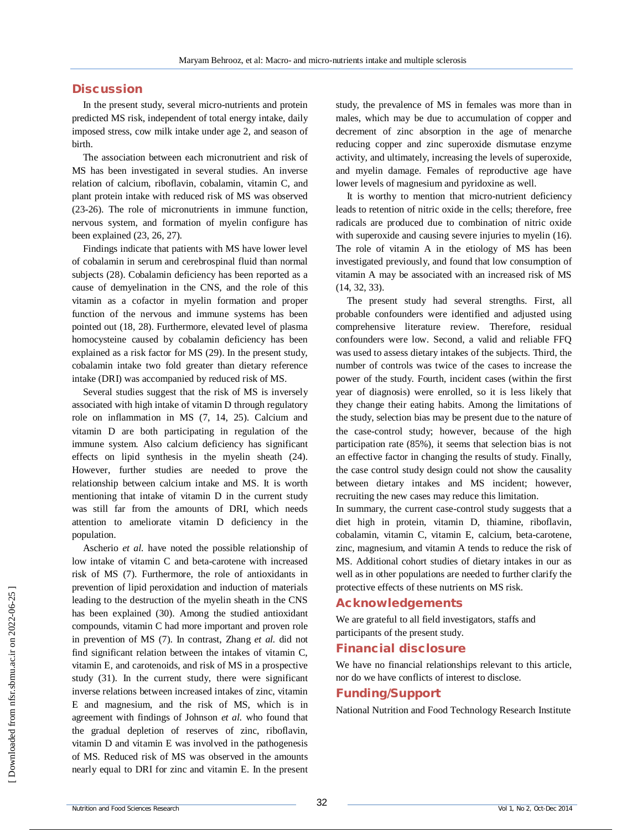## **Discussion**

In the present study, several micro-nutrients and protein predicted MS risk, independent of total energy intake, daily imposed stress, cow milk intake under age 2, and season of birth.

The association between each micronutrient and risk of MS has been investigated in several studies. An inverse relation of calcium, riboflavin, cobalamin, vitamin C, and plant protein intake with reduced risk of MS was observed (23-26). The role of micronutrients in immune function, nervous system, and formation of myelin configure has been explained (23, 26, 27).

Findings indicate that patients with MS have lower level of cobalamin in serum and cerebrospinal fluid than normal subjects (28). Cobalamin deficiency has been reported as a cause of demyelination in the CNS, and the role of this vitamin as a cofactor in myelin formation and proper function of the nervous and immune systems has been pointed out (18, 28). Furthermore, elevated level of plasma homocysteine caused by cobalamin deficiency has been explained as a risk factor for MS (29). In the present study, cobalamin intake two fold greater than dietary reference intake (DRI) was accompanied by reduced risk of MS.

Several studies suggest that the risk of MS is inversely associated with high intake of vitamin D through regulatory role on inflammation in MS (7, 14, 25). Calcium and vitamin D are both participating in regulation of the immune system. Also calcium deficiency has significant effects on lipid synthesis in the myelin sheath (24). However, further studies are needed to prove the relationship between calcium intake and MS. It is worth mentioning that intake of vitamin D in the current study was still far from the amounts of DRI, which needs attention to ameliorate vitamin D deficiency in the population.

Ascherio *et al.* have noted the possible relationship of low intake of vitamin C and beta-carotene with increased risk of MS (7). Furthermore, the role of antioxidants in prevention of lipid peroxidation and induction of materials leading to the destruction of the myelin sheath in the CNS has been explained (30). Among the studied antioxidant compounds, vitamin C had more important and proven role in prevention of MS (7). In contrast, Zhang *et al.* did not find significant relation between the intakes of vitamin C, vitamin E, and carotenoids, and risk of MS in a prospective study (31). In the current study, there were significant inverse relations between increased intakes of zinc, vitamin E and magnesium, and the risk of MS, which is in agreement with findings of Johnson *et al.* who found that the gradual depletion of reserves of zinc, riboflavin, vitamin D and vitamin E was involved in the pathogenesis of MS. Reduced risk of MS was observed in the amounts nearly equal to DRI for zinc and vitamin E. In the present study, the prevalence of MS in females was more than in males, which may be due to accumulation of copper and decrement of zinc absorption in the age of menarche reducing copper and zinc superoxide dismutase enzyme activity, and ultimately, increasing the levels of superoxide, and myelin damage. Females of reproductive age have lower levels of magnesium and pyridoxine as well.

It is worthy to mention that micro-nutrient deficiency leads to retention of nitric oxide in the cells; therefore, free radicals are produced due to combination of nitric oxide with superoxide and causing severe injuries to myelin (16). The role of vitamin A in the etiology of MS has been investigated previously, and found that low consumption of vitamin A may be associated with an increased risk of MS (14, 32, 33).

The present study had several strengths. First, all probable confounders were identified and adjusted using comprehensive literature review. Therefore, residual confounders were low. Second, a valid and reliable FFQ was used to assess dietary intakes of the subjects. Third, the number of controls was twice of the cases to increase the power of the study. Fourth, incident cases (within the first year of diagnosis) were enrolled, so it is less likely that they change their eating habits. Among the limitations of the study, selection bias may be present due to the nature of the case-control study; however, because of the high participation rate (85%), it seems that selection bias is not an effective factor in changing the results of study. Finally, the case control study design could not show the causality between dietary intakes and MS incident; however, recruiting the new cases may reduce this limitation.

In summary, the current case-control study suggests that a diet high in protein, vitamin D, thiamine, riboflavin, cobalamin, vitamin C, vitamin E, calcium, beta-carotene, zinc, magnesium, and vitamin A tends to reduce the risk of MS. Additional cohort studies of dietary intakes in our as well as in other populations are needed to further clarify the protective effects of these nutrients on MS risk.

### **Acknowledgements**

We are grateful to all field investigators, staffs and participants of the present study.

### **Financial disclosure**

We have no financial relationships relevant to this article, nor do we have conflicts of interest to disclose.

# **Funding/Support**

National Nutrition and Food Technology Research Institute